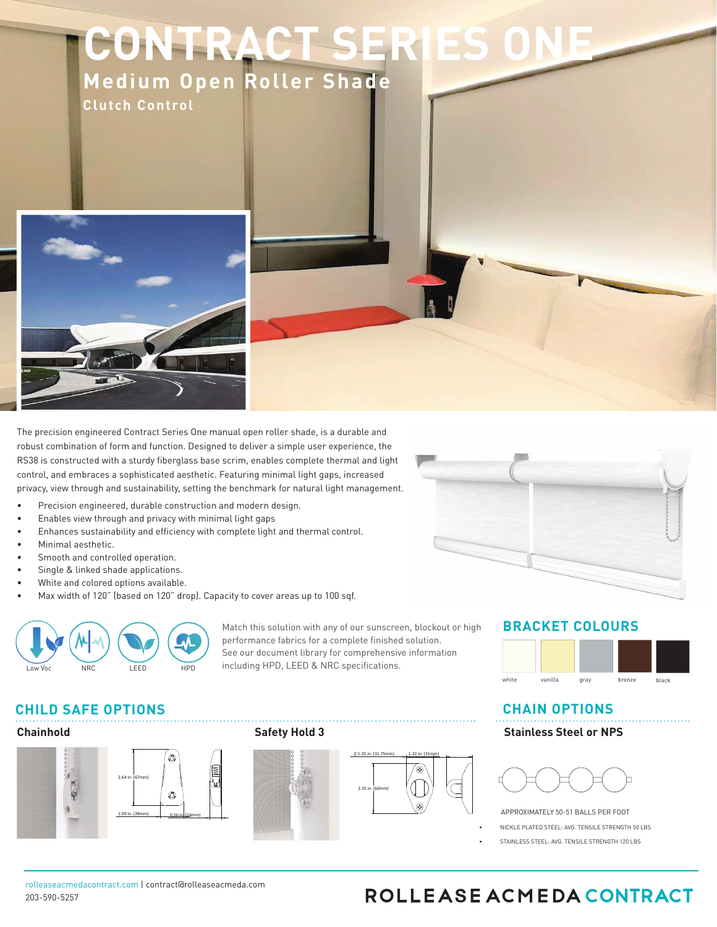# **CONTRACT SER Medium Open Roller Shade**

**Clutch Control**



5IFLOSFDOTIOPOHOOFFSFE3PMMFBTFODNFEBOPOUSBDU.FEONNOOFO3PMM**BOKBORBEN AND**PNCOOBUOPORGGPSNBOEGVODUOPODOBTIMFFLOBDOB<del>TMIEIWRS</del>UB O CBTEEPOBESPDIODPTRGCEGPSEMOOLOOHPOUOPOTOEBUVSOOHNOO**BMMTHBLOOLOOEDTOOHOOEESEENBOVBMDIB**OODPOUSPMOTNBEEEPG**BEGIGHAMBEHM**ME 00 MPD PVSOBOFOOFEIDEMWFOSPMWDFDIDPMPHOPGGFSTBSPCVTOOFOTNP<del>PRNPPAJBROMMANDL</del>SDFTPGMFTTUDIBOMCTOSPOFSMOCBMBODF**ELDENRORDER&FOU**NFO BOESFEVDFTFFSWJDFDBMMTDTTTVFTTDDHOOGDBOUMDTEBWJFSBOEDNOSTTURTERWESTEGDHOPOBOHNOFFSFECTFBWJQVDBSEXBSFFDIBUDBOTVQQPSUNVMURCHTURGQQ **Features:**

- 8000BNBYX0E00BGOBTFEPOBESPONOOPO TRGCFGPSFMOOHPOUDPOTEDOLOOHO POUJPOTJODMVEFJOMJOFBOHMFEODHUPDPVOMJOHJ
- 0POUSBDU0ES0ET0OF0MVUDIVTETPVSABUFMWFUSPMGORVSBU0PODPSFEVDFGS0DU0POTUSFTT0 BOEDSFTTVSFPONPWDOHDBSUTBMMPROGHSPSGFD
- 0POUSBDU0FS0FT0OF0MVUDINFDIBOOTHBHFTUPPG 00TDPMEHOBODFBMMPXDBMPXFS0 OVMMGPSDFTOFFEFEUPSBOTFMBGHTSTUFTNTO
- 0ESNBOFOUMDMVCSODBUFEDMVUDIEFTOHONBE<del>FINABORIXMPOBIE</del>MBTTGEMMMPOO 00MPOBOETVSHODBMBSBEFOPMON**OSTAN**DFSFEIDHIDBSCPOTWEGUFSOBMTOSOOHTXOMMOPUC EFHSBEFPWFSUJNFBOEBSFJNJFSWJRWBORNPJTUVSFJ
- 3PMMFBTFODNFEBOUBOOMFTTOUFFMTSBWFTDFYCTPGOVMWSFOHUISHTTUCSFBEB EVEDPTUBOEBSEXFBSBOEDFBSBTXGWMBTB
- DEXMDEETDBOFE)FBWDDVDDOEMFSBTTFNCMJDPOBGBVCHDMBTGAMPOOMPOOPFMDNDOBUFD OPDTFBOESFTDTUXFBSBOEUFBSGPSOUTMIGEDOHTDTUFND
- 9PMMFBTFODNFEBDIBJOTBGFUJDFOTJPOFSTSF**8DIDIENN**OJD TIJDBOEBSEBOEBSFJ BOOSPWFECODUEOPOTVNFS1SPEVDU0BGFUODPNNDTTLWGCCCBESEPVTMPPOOSCHOOHO GPSNFEUPEMONDOBUFTUSBOHVMBUOPOIB[BSET
- 4QSJOHBTTJTUDPVOUFSCBMBODJOHPSHFBSFEHBMBYZDMVUDIPQ UJPOTGPSMBSH FNBOVBMBQQMJDBUJPOT
- t 0DDF0UTTUBOEBSEBOESFWFSTFSPNMERDIN



Match this solution with any of our sunscreen, blockout or high performance fabrics for a complete finished solution. See our document library for comprehensive information including HPD, LEED & NRC specifications.









#### **BRACKET COLORS**



#### **CHAIN OPTIONS**





APPROXIMATELY 50-51 BALLS PER FOOT

- NICKLE PLATED STEEL: AVG. TENSILE STRENGTH 50 LBS
- STAINLESS STEEL: AVG. TENSILE STRENGTH 120 LBS

rolleaseacmedacontract.com | contract@rolleaseacmeda.com 203-590-5257

## ROLLEASE ACMEDA CONTRACT